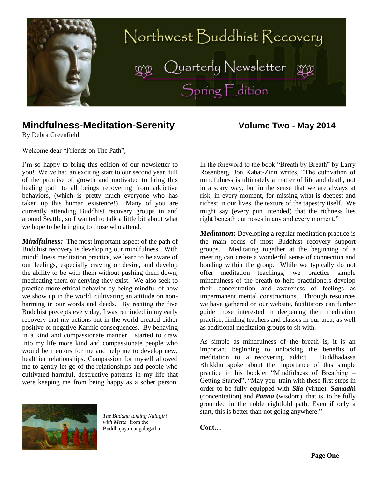

# **Mindfulness-Meditation-Serenity <b>Windfulness-Meditation-Serenity Windfulness-Meditation-Serenity**

By Debra Greenfield

Welcome dear "Friends on The Path",

I'm so happy to bring this edition of our newsletter to you! We've had an exciting start to our second year, full of the promise of growth and motivated to bring this healing path to all beings recovering from addictive behaviors, (which is pretty much everyone who has taken up this human existence!) Many of you are currently attending Buddhist recovery groups in and around Seattle, so I wanted to talk a little bit about what we hope to be bringing to those who attend.

*Mindfulness:* The most important aspect of the path of Buddhist recovery is developing our mindfulness. With mindfulness meditation practice, we learn to be aware of our feelings, especially craving or desire, and develop the ability to be with them without pushing them down, medicating them or denying they exist. We also seek to practice more ethical behavior by being mindful of how we show up in the world, cultivating an attitude on nonharming in our words and deeds. By reciting the five Buddhist precepts every day, I was reminded in my early recovery that my actions out in the world created either positive or negative Karmic consequences. By behaving in a kind and compassionate manner I started to draw into my life more kind and compassionate people who would be mentors for me and help me to develop new, healthier relationships. Compassion for myself allowed me to gently let go of the relationships and people who cultivated harmful, destructive patterns in my life that were keeping me from being happy as a sober person.



*The Buddha taming Nalagiri with Metta* from the Buddhajayamangalagatha

In the foreword to the book "Breath by Breath" by Larry Rosenberg, Jon Kabat-Zinn writes, "The cultivation of mindfulness is ultimately a matter of life and death, not in a scary way, but in the sense that we are always at risk, in every moment, for missing what is deepest and richest in our lives, the texture of the tapestry itself. We might say (every pun intended) that the richness lies right beneath our noses in any and every moment."

*Meditation***:** Developing a regular meditation practice is the main focus of most Buddhist recovery support groups. Meditating together at the beginning of a meeting can create a wonderful sense of connection and bonding within the group. While we typically do not offer meditation teachings, we practice simple mindfulness of the breath to help practitioners develop their concentration and awareness of feelings as impermanent mental constructions. Through resources we have gathered on our website, facilitators can further guide those interested in deepening their meditation practice, finding teachers and classes in our area, as well as additional meditation groups to sit with.

As simple as mindfulness of the breath is, it is an important beginning to unlocking the benefits of meditation to a recovering addict. Buddhadassa Bhikkhu spoke about the importance of this simple practice in his booklet "Mindfulness of Breathing – Getting Started", "May you train with these first steps in order to be fully equipped with *Sila* (virtue), *Samadh*i (concentration) and *Panna* **(**wisdom), that is, to be fully grounded in the noble eightfold path. Even if only a start, this is better than not going anywhere."

**Cont…**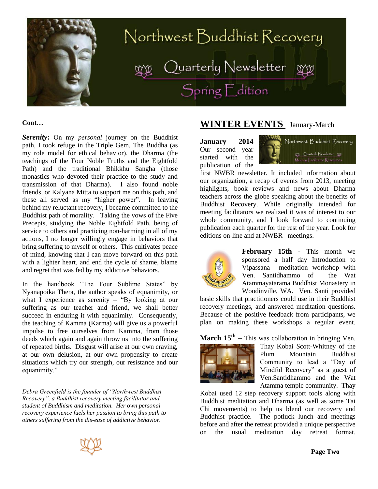

**Cont…**

*Serenity***:** On my *personal* journey on the Buddhist path, I took refuge in the Triple Gem. The Buddha (as my role model for ethical behavior), the Dharma (the teachings of the Four Noble Truths and the Eightfold Path) and the traditional Bhikkhu Sangha (those monastics who devoted their practice to the study and transmission of that Dharma). I also found noble friends, or Kalyana Mitta to support me on this path, and these all served as my "higher power". In leaving behind my reluctant recovery, I became committed to the Buddhist path of morality. Taking the vows of the Five Precepts, studying the Noble Eightfold Path, being of service to others and practicing non-harming in all of my actions, I no longer willingly engage in behaviors that bring suffering to myself or others. This cultivates peace of mind, knowing that I can move forward on this path with a lighter heart, and end the cycle of shame, blame and regret that was fed by my addictive behaviors.

In the handbook "The Four Sublime States" by Nyanapoika Thera, the author speaks of equanimity, or what I experience as serenity – "By looking at our suffering as our teacher and friend, we shall better succeed in enduring it with equanimity. Consequently, the teaching of Kamma (Karma) will give us a powerful impulse to free ourselves from Kamma, from those deeds which again and again throw us into the suffering of repeated births. Disgust will arise at our own craving, at our own delusion, at our own propensity to create situations which try our strength, our resistance and our equanimity."

*Debra Greenfield is the founder of "Northwest Buddhist Recovery", a Buddhist recovery meeting facilitator and student of Buddhism and meditation. Her own personal recovery experience fuels her passion to bring this path to others suffering from the dis-ease of addictive behavior.* 

# **WINTER EVENTS** January-March

**January 2014** Our second year started with the publication of the



first NWBR newsletter. It included information about our organization, a recap of events from 2013, meeting highlights, book reviews and news about Dharma teachers across the globe speaking about the benefits of Buddhist Recovery. While originally intended for meeting facilitators we realized it was of interest to our whole community, and I look forward to continuing publication each quarter for the rest of the year. Look for editions on-line and at NWBR meetings.



**February 15th** - This month we sponsored a half day Introduction to Vipassana meditation workshop with Ven. Santidhammo of the Wat Atammayatarama Buddhist Monastery in Woodinville, WA. Ven. Santi provided

basic skills that practitioners could use in their Buddhist recovery meetings, and answered meditation questions. Because of the positive feedback from participants, we plan on making these workshops a regular event.

**March 15th** – This was collaboration in bringing Ven.



Thay Kobai Scott-Whitney of the Plum Mountain Buddhist Community to lead a "Day of Mindful Recovery" as a guest of Ven.Santidhammo and the Wat Atamma temple community. Thay

Kobai used 12 step recovery support tools along with Buddhist meditation and Dharma (as well as some Tai Chi movements) to help us blend our recovery and Buddhist practice. The potluck lunch and meetings before and after the retreat provided a unique perspective on the usual meditation day retreat format.

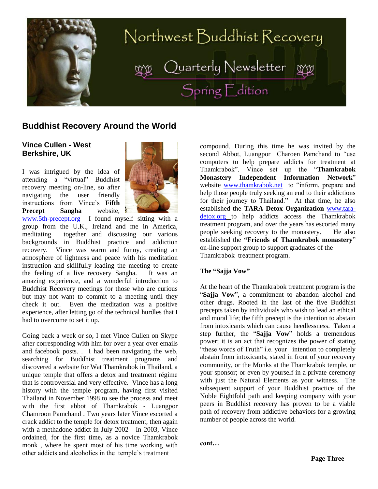

# **Buddhist Recovery Around the World**

### **Vince Cullen - West Berkshire, UK**

I was intrigued by the idea of attending a "virtual" Buddhist recovery meeting on-line, so after navigating the user friendly instructions from Vince's **Fifth Precept Sangha** website,



[www.5th-precept.org](http://www.5th-precept.org/) I found myself sitting with a group from the U.K., Ireland and me in America, meditating together and discussing our various backgrounds in Buddhist practice and addiction recovery. Vince was warm and funny, creating an atmosphere of lightness and peace with his meditation instruction and skillfully leading the meeting to create the feeling of a live recovery Sangha. It was an amazing experience, and a wonderful introduction to Buddhist Recovery meetings for those who are curious but may not want to commit to a meeting until they check it out. Even the meditation was a positive experience, after letting go of the technical hurdles that I had to overcome to set it up.

Going back a week or so, I met Vince Cullen on Skype after corresponding with him for over a year over emails and facebook posts. . I had been navigating the web, searching for Buddhist treatment programs and discovered a website for Wat Thamkrabok in Thailand, a unique temple that offers a detox and treatment régime that is controversial and very effective. Vince has a long history with the temple program, having first visited Thailand in November 1998 to see the process and meet with the first abbot of Thamkrabok - Luangpor Chamroon Pamchand . Two years later Vince escorted a crack addict to the temple for detox treatment, then again with a methadone addict in July 2002 In 2003, Vince ordained, for the first time**,** as a novice Thamkrabok monk , where he spent most of his time working with other addicts and alcoholics in the temple's treatment

compound. During this time he was invited by the second Abbot, Luangpor Charoen Pamchand to "use computers to help prepare addicts for treatment at Thamkrabok". Vince set up the "**Thamkrabok Monastery Independent Information Network**" website [www.thamkrabok.net](http://www.thamkrabok.net/) to "inform, prepare and help those people truly seeking an end to their addictions for their journey to Thailand." At that time, he also established the **TARA Detox Organization** [www.tara](http://www.tara-detox.org/)[detox.org](http://www.tara-detox.org/) to help addicts access the Thamkrabok treatment program, and over the years has escorted many people seeking recovery to the monastery. He also established the **"Friends of Thamkrabok monastery**" on-line support group to support graduates of the Thamkrabok treatment program.

#### **The "Sajja Vow"**

At the heart of the Thamkrabok treatment program is the "**Sajja Vow**", a commitment to abandon alcohol and other drugs. Rooted in the last of the five Buddhist precepts taken by individuals who wish to lead an ethical and moral life; the fifth precept is the intention to abstain from intoxicants which can cause heedlessness. Taken a step further, the "**Sajja Vow**" holds a tremendous power; it is an act that recognizes the power of stating "these words of Truth" i.e. your intention to completely abstain from intoxicants, stated in front of your recovery community, or the Monks at the Thamkrabok temple, or your sponsor; or even by yourself in a private ceremony with just the Natural Elements as your witness. The subsequent support of your Buddhist practice of the Noble Eightfold path and keeping company with your peers in Buddhist recovery has proven to be a viable path of recovery from addictive behaviors for a growing number of people across the world.

**cont…** 

**Page Three**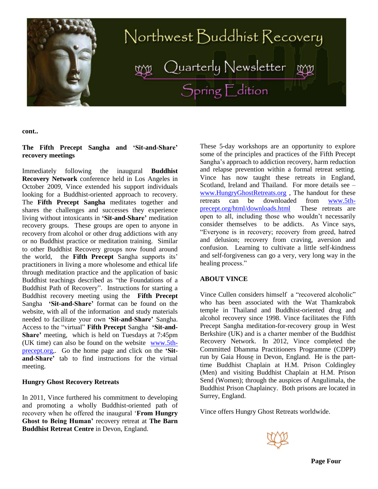

**cont..**

#### **The Fifth Precept Sangha and 'Sit-and-Share' recovery meetings**

Immediately following the inaugural **Buddhist Recovery Network** conference held in Los Angeles in October 2009, Vince extended his support individuals looking for a Buddhist-oriented approach to recovery. The **Fifth Precept Sangha** meditates together and shares the challenges and successes they experience living without intoxicants in **'Sit-and-Share'** meditation recovery groups. These groups are open to anyone in recovery from alcohol or other drug addictions with any or no Buddhist practice or meditation training. Similar to other Buddhist Recovery groups now found around the world, the **Fifth Precept** Sangha supports its' practitioners in living a more wholesome and ethical life through meditation practice and the application of basic Buddhist teachings described as "the Foundations of a Buddhist Path of Recovery". Instructions for starting a Buddhist recovery meeting using the **Fifth Precept**  Sangha **'Sit-and-Share'** format can be found on the website, with all of the information and study materials needed to facilitate your own **'Sit-and-Share'** Sangha. Access to the "virtual" **Fifth Precept** Sangha **'Sit-and-Share'** meeting, which is held on Tuesdays at 7:45pm (UK time) can also be found on the website [www.5th](http://www.5th-precept.org/)[precept.org,](http://www.5th-precept.org/). Go the home page and click on the **'Sitand-Share'** tab to find instructions for the virtual meeting.

#### **Hungry Ghost Recovery Retreats**

In 2011, Vince furthered his commitment to developing and promoting a wholly Buddhist-oriented path of recovery when he offered the inaugural '**From Hungry Ghost to Being Human'** recovery retreat at **The Barn Buddhist Retreat Centre** in Devon, England.

These 5-day workshops are an opportunity to explore some of the principles and practices of the Fifth Precept Sangha's approach to addiction recovery, harm reduction and relapse prevention within a formal retreat setting. Vince has now taught these retreats in England, Scotland, Ireland and Thailand. For more details see – [www.HungryGhostRetreats.org](http://www.hungryghostretreats.org/) , The handout for these retreats can be downloaded from [www.5th](http://www.5th-precept.org/html/downloads.html)[precept.org/html/downloads.html](http://www.5th-precept.org/html/downloads.html) These retreats are open to all, including those who wouldn't necessarily consider themselves to be addicts. As Vince says, "Everyone is in recovery; recovery from greed, hatred and delusion; recovery from craving, aversion and confusion. Learning to cultivate a little self-kindness and self-forgiveness can go a very, very long way in the healing process."

#### **ABOUT VINCE**

Vince Cullen considers himself a "recovered alcoholic" who has been associated with the Wat Thamkrabok temple in Thailand and Buddhist-oriented drug and alcohol recovery since 1998. Vince facilitates the [Fifth](http://www.5th-precept.org/)  [Precept Sangha](http://www.5th-precept.org/) meditation-for-recovery group in West Berkshire (UK) and is a charter member of the [Buddhist](http://www.buddhistrecovery.org/)  [Recovery Network.](http://www.buddhistrecovery.org/) In 2012, Vince completed the Committed Dhamma Practitioners Programme (CDPP) run by [Gaia House](http://www.gaiahouse.co.uk/) in Devon, England. He is the parttime Buddhist Chaplain at H.M. Prison Coldingley (Men) and visiting Buddhist Chaplain at H.M. Prison Send (Women); through the auspices of Angulimala, the [Buddhist Prison Chaplaincy.](http://www.angulimala.org.uk/) Both prisons are located in Surrey, England.

Vince offers Hungry Ghost Retreats worldwide.

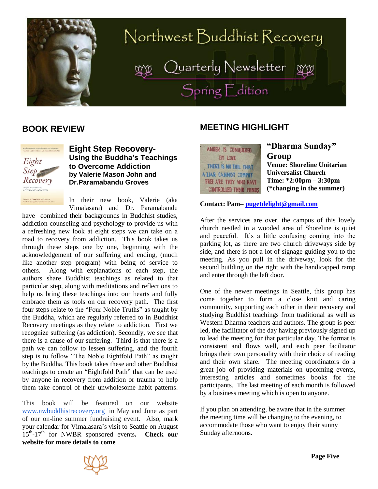

# Northwest Buddhist Recovery Quarterly Newsletter<br>Spring Edition

# **BOOK REVIEW**



**Eight Step Recovery-Using the Buddha's Teachings to Overcome Addiction by Valerie Mason John and Dr.Paramabandu Groves**

In their new book, Valerie (aka Vimalasara) and Dr. Paramabandu

have combined their backgrounds in Buddhist studies, addiction counseling and psychology to provide us with a refreshing new look at eight steps we can take on a road to recovery from addiction. This book takes us through these steps one by one, beginning with the acknowledgement of our suffering and ending, (much like another step program) with being of service to others. Along with explanations of each step, the authors share Buddhist teachings as related to that particular step, along with meditations and reflections to help us bring these teachings into our hearts and fully embrace them as tools on our recovery path. The first four steps relate to the "Four Noble Truths" as taught by the Buddha, which are regularly referred to in Buddhist Recovery meetings as they relate to addiction. First we recognize suffering (as addiction). Secondly, we see that there is a cause of our suffering. Third is that there is a path we can follow to lessen suffering, and the fourth step is to follow "The Noble Eightfold Path" as taught by the Buddha. This book takes these and other Buddhist teachings to create an "Eightfold Path" that can be used by anyone in recovery from addition or trauma to help them take control of their unwholesome habit patterns.

This book will be featured on our website [www.nwbuddhistrecovery.org](http://www.nwbuddhistrecovery.org/) in May and June as part of our on-line summer fundraising event. Also, mark your calendar for Vimalasara's visit to Seattle on August 15<sup>th</sup>-17<sup>th</sup> for NWBR sponsored events. Check our **website for more details to come**

# **MEETING HIGHLIGHT**

| ANGER IS CONQUERED            |
|-------------------------------|
| BY LOVE                       |
| THERE IS NO EVIL THAT         |
| A LIAR CANNOT COMMIT          |
| <b>FREE ARE THEY WHO HAVE</b> |
| - CONTROLLED THEIR MINDS      |

# **"Dharma Sunday" Group**

**Venue: Shoreline Unitarian Universalist Church Time: \*2:00pm – 3:30pm (\*changing in the summer)**

**Contact: Pam– [pugetdelight@gmail.com](mailto:pugetdelight@gmail.com)**

After the services are over, the campus of this lovely church nestled in a wooded area of Shoreline is quiet and peaceful. It's a little confusing coming into the parking lot, as there are two church driveways side by side, and there is not a lot of signage guiding you to the meeting. As you pull in the driveway, look for the second building on the right with the handicapped ramp and enter through the left door.

One of the newer meetings in Seattle, this group has come together to form a close knit and caring community, supporting each other in their recovery and studying Buddhist teachings from traditional as well as Western Dharma teachers and authors. The group is peer led, the facilitator of the day having previously signed up to lead the meeting for that particular day. The format is consistent and flows well, and each peer facilitator brings their own personality with their choice of reading and their own share. The meeting coordinators do a great job of providing materials on upcoming events, interesting articles and sometimes books for the participants. The last meeting of each month is followed by a business meeting which is open to anyone.

If you plan on attending, be aware that in the summer the meeting time will be changing to the evening, to accommodate those who want to enjoy their sunny Sunday afternoons.